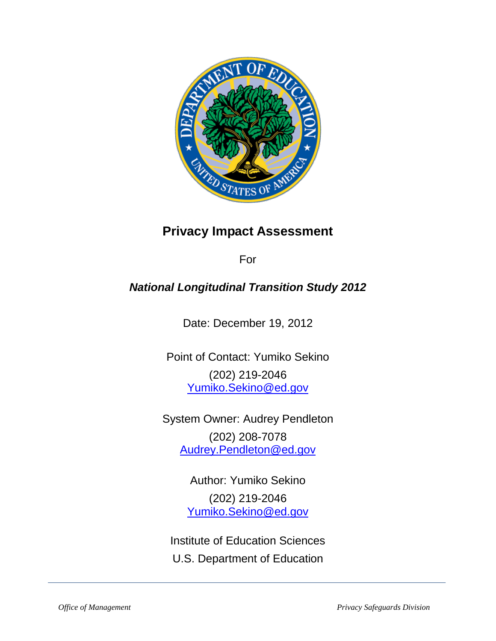

# **Privacy Impact Assessment**

For

# *National Longitudinal Transition Study 2012*

Date: December 19, 2012

Point of Contact: Yumiko Sekino (202) 219-2046 [Yumiko.Sekino@ed.gov](mailto:Yumiko.Sekino@ed.gov)

System Owner: Audrey Pendleton (202) 208-7078 [Audrey.Pendleton@ed.gov](mailto:Audrey.Pendleton@ed.gov)

> Author: Yumiko Sekino (202) 219-2046 [Yumiko.Sekino@ed.gov](mailto:Yumiko.Sekino@ed.gov)

Institute of Education Sciences U.S. Department of Education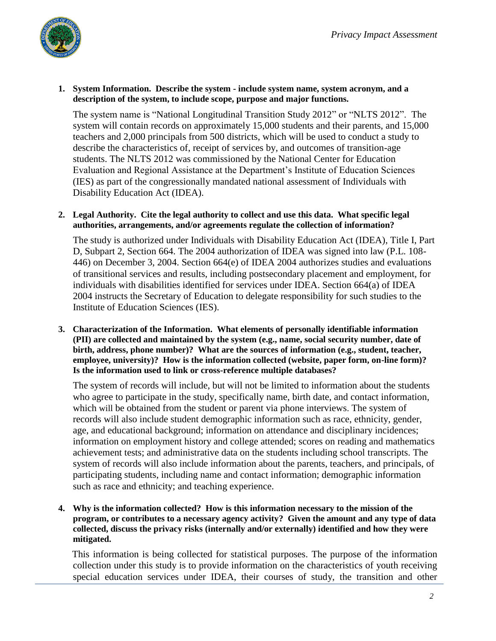

#### **1. System Information. Describe the system - include system name, system acronym, and a description of the system, to include scope, purpose and major functions.**

The system name is "National Longitudinal Transition Study 2012" or "NLTS 2012". The system will contain records on approximately 15,000 students and their parents, and 15,000 teachers and 2,000 principals from 500 districts, which will be used to conduct a study to describe the characteristics of, receipt of services by, and outcomes of transition-age students. The NLTS 2012 was commissioned by the National Center for Education Evaluation and Regional Assistance at the Department's Institute of Education Sciences (IES) as part of the congressionally mandated national assessment of Individuals with Disability Education Act (IDEA).

#### **2. Legal Authority. Cite the legal authority to collect and use this data. What specific legal authorities, arrangements, and/or agreements regulate the collection of information?**

The study is authorized under Individuals with Disability Education Act (IDEA), Title I, Part D, Subpart 2, Section 664. The 2004 authorization of IDEA was signed into law (P.L. 108- 446) on December 3, 2004. Section 664(e) of IDEA 2004 authorizes studies and evaluations of transitional services and results, including postsecondary placement and employment, for individuals with disabilities identified for services under IDEA. Section 664(a) of IDEA 2004 instructs the Secretary of Education to delegate responsibility for such studies to the Institute of Education Sciences (IES).

**3. Characterization of the Information. What elements of personally identifiable information (PII) are collected and maintained by the system (e.g., name, social security number, date of birth, address, phone number)? What are the sources of information (e.g., student, teacher, employee, university)? How is the information collected (website, paper form, on-line form)? Is the information used to link or cross-reference multiple databases?** 

The system of records will include, but will not be limited to information about the students who agree to participate in the study, specifically name, birth date, and contact information, which will be obtained from the student or parent via phone interviews. The system of records will also include student demographic information such as race, ethnicity, gender, age, and educational background; information on attendance and disciplinary incidences; information on employment history and college attended; scores on reading and mathematics achievement tests; and administrative data on the students including school transcripts. The system of records will also include information about the parents, teachers, and principals, of participating students, including name and contact information; demographic information such as race and ethnicity; and teaching experience.

**4. Why is the information collected? How is this information necessary to the mission of the program, or contributes to a necessary agency activity? Given the amount and any type of data collected, discuss the privacy risks (internally and/or externally) identified and how they were mitigated.** 

This information is being collected for statistical purposes. The purpose of the information collection under this study is to provide information on the characteristics of youth receiving special education services under IDEA, their courses of study, the transition and other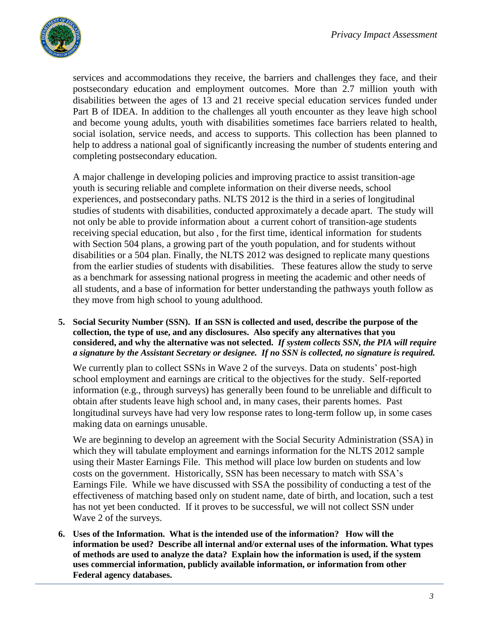

services and accommodations they receive, the barriers and challenges they face, and their postsecondary education and employment outcomes. More than 2.7 million youth with disabilities between the ages of 13 and 21 receive special education services funded under Part B of IDEA. In addition to the challenges all youth encounter as they leave high school and become young adults, youth with disabilities sometimes face barriers related to health, social isolation, service needs, and access to supports. This collection has been planned to help to address a national goal of significantly increasing the number of students entering and completing postsecondary education.

A major challenge in developing policies and improving practice to assist transition-age youth is securing reliable and complete information on their diverse needs, school experiences, and postsecondary paths. NLTS 2012 is the third in a series of longitudinal studies of students with disabilities, conducted approximately a decade apart. The study will not only be able to provide information about a current cohort of transition-age students receiving special education, but also , for the first time, identical information for students with Section 504 plans, a growing part of the youth population, and for students without disabilities or a 504 plan. Finally, the NLTS 2012 was designed to replicate many questions from the earlier studies of students with disabilities. These features allow the study to serve as a benchmark for assessing national progress in meeting the academic and other needs of all students, and a base of information for better understanding the pathways youth follow as they move from high school to young adulthood.

**5. Social Security Number (SSN). If an SSN is collected and used, describe the purpose of the collection, the type of use, and any disclosures. Also specify any alternatives that you considered, and why the alternative was not selected.** *If system collects SSN, the PIA will require a signature by the Assistant Secretary or designee. If no SSN is collected, no signature is required.*

We currently plan to collect SSNs in Wave 2 of the surveys. Data on students' post-high school employment and earnings are critical to the objectives for the study. Self-reported information (e.g., through surveys) has generally been found to be unreliable and difficult to obtain after students leave high school and, in many cases, their parents homes. Past longitudinal surveys have had very low response rates to long-term follow up, in some cases making data on earnings unusable.

We are beginning to develop an agreement with the Social Security Administration (SSA) in which they will tabulate employment and earnings information for the NLTS 2012 sample using their Master Earnings File. This method will place low burden on students and low costs on the government. Historically, SSN has been necessary to match with SSA's Earnings File. While we have discussed with SSA the possibility of conducting a test of the effectiveness of matching based only on student name, date of birth, and location, such a test has not yet been conducted. If it proves to be successful, we will not collect SSN under Wave 2 of the surveys.

**6. Uses of the Information. What is the intended use of the information? How will the information be used? Describe all internal and/or external uses of the information. What types of methods are used to analyze the data? Explain how the information is used, if the system uses commercial information, publicly available information, or information from other Federal agency databases.**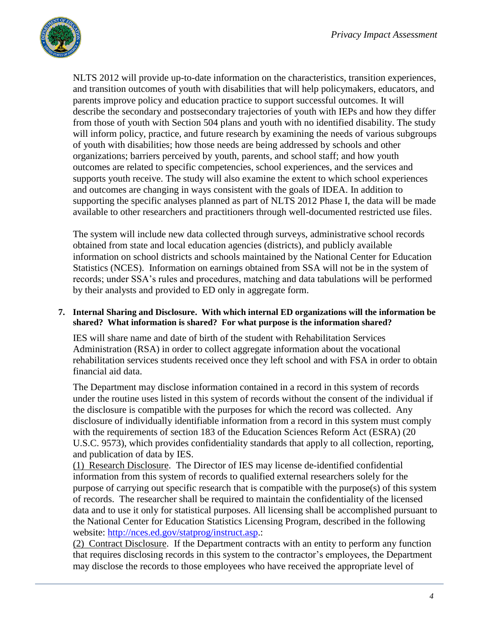

NLTS 2012 will provide up-to-date information on the characteristics, transition experiences, and transition outcomes of youth with disabilities that will help policymakers, educators, and parents improve policy and education practice to support successful outcomes. It will describe the secondary and postsecondary trajectories of youth with IEPs and how they differ from those of youth with Section 504 plans and youth with no identified disability. The study will inform policy, practice, and future research by examining the needs of various subgroups of youth with disabilities; how those needs are being addressed by schools and other organizations; barriers perceived by youth, parents, and school staff; and how youth outcomes are related to specific competencies, school experiences, and the services and supports youth receive. The study will also examine the extent to which school experiences and outcomes are changing in ways consistent with the goals of IDEA. In addition to supporting the specific analyses planned as part of NLTS 2012 Phase I, the data will be made available to other researchers and practitioners through well-documented restricted use files.

The system will include new data collected through surveys, administrative school records obtained from state and local education agencies (districts), and publicly available information on school districts and schools maintained by the National Center for Education Statistics (NCES). Information on earnings obtained from SSA will not be in the system of records; under SSA's rules and procedures, matching and data tabulations will be performed by their analysts and provided to ED only in aggregate form.

## **7. Internal Sharing and Disclosure. With which internal ED organizations will the information be shared? What information is shared? For what purpose is the information shared?**

IES will share name and date of birth of the student with Rehabilitation Services Administration (RSA) in order to collect aggregate information about the vocational rehabilitation services students received once they left school and with FSA in order to obtain financial aid data.

The Department may disclose information contained in a record in this system of records under the routine uses listed in this system of records without the consent of the individual if the disclosure is compatible with the purposes for which the record was collected. Any disclosure of individually identifiable information from a record in this system must comply with the requirements of section 183 of the Education Sciences Reform Act (ESRA) (20 U.S.C. 9573), which provides confidentiality standards that apply to all collection, reporting, and publication of data by IES.

(1) Research Disclosure. The Director of IES may license de-identified confidential information from this system of records to qualified external researchers solely for the purpose of carrying out specific research that is compatible with the purpose(s) of this system of records. The researcher shall be required to maintain the confidentiality of the licensed data and to use it only for statistical purposes. All licensing shall be accomplished pursuant to the National Center for Education Statistics Licensing Program, described in the following website: [http://nces.ed.gov/statprog/instruct.asp.](http://nces.ed.gov/statprog/instruct.asp):

(2) Contract Disclosure. If the Department contracts with an entity to perform any function that requires disclosing records in this system to the contractor's employees, the Department may disclose the records to those employees who have received the appropriate level of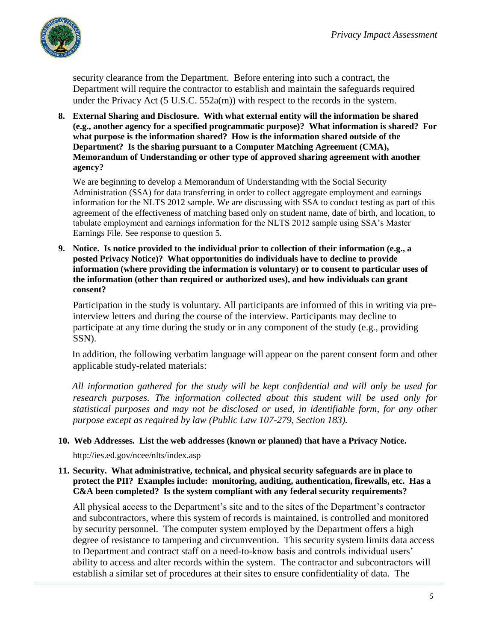

security clearance from the Department. Before entering into such a contract, the Department will require the contractor to establish and maintain the safeguards required under the Privacy Act  $(5 \text{ U.S.C. } 552a(m))$  with respect to the records in the system.

**8. External Sharing and Disclosure. With what external entity will the information be shared (e.g., another agency for a specified programmatic purpose)? What information is shared? For what purpose is the information shared? How is the information shared outside of the Department? Is the sharing pursuant to a Computer Matching Agreement (CMA), Memorandum of Understanding or other type of approved sharing agreement with another agency?**

We are beginning to develop a Memorandum of Understanding with the Social Security Administration (SSA) for data transferring in order to collect aggregate employment and earnings information for the NLTS 2012 sample. We are discussing with SSA to conduct testing as part of this agreement of the effectiveness of matching based only on student name, date of birth, and location, to tabulate employment and earnings information for the NLTS 2012 sample using SSA's Master Earnings File. See response to question 5.

**9. Notice. Is notice provided to the individual prior to collection of their information (e.g., a posted Privacy Notice)? What opportunities do individuals have to decline to provide information (where providing the information is voluntary) or to consent to particular uses of the information (other than required or authorized uses), and how individuals can grant consent?** 

Participation in the study is voluntary. All participants are informed of this in writing via preinterview letters and during the course of the interview. Participants may decline to participate at any time during the study or in any component of the study (e.g., providing SSN).

In addition, the following verbatim language will appear on the parent consent form and other applicable study-related materials:

*All information gathered for the study will be kept confidential and will only be used for research purposes. The information collected about this student will be used only for statistical purposes and may not be disclosed or used, in identifiable form, for any other purpose except as required by law (Public Law 107-279, Section 183).* 

## **10. Web Addresses. List the web addresses (known or planned) that have a Privacy Notice.**

http://ies.ed.gov/ncee/nlts/index.asp

#### **11. Security. What administrative, technical, and physical security safeguards are in place to protect the PII? Examples include: monitoring, auditing, authentication, firewalls, etc. Has a C&A been completed? Is the system compliant with any federal security requirements?**

All physical access to the Department's site and to the sites of the Department's contractor and subcontractors, where this system of records is maintained, is controlled and monitored by security personnel. The computer system employed by the Department offers a high degree of resistance to tampering and circumvention. This security system limits data access to Department and contract staff on a need-to-know basis and controls individual users' ability to access and alter records within the system. The contractor and subcontractors will establish a similar set of procedures at their sites to ensure confidentiality of data. The